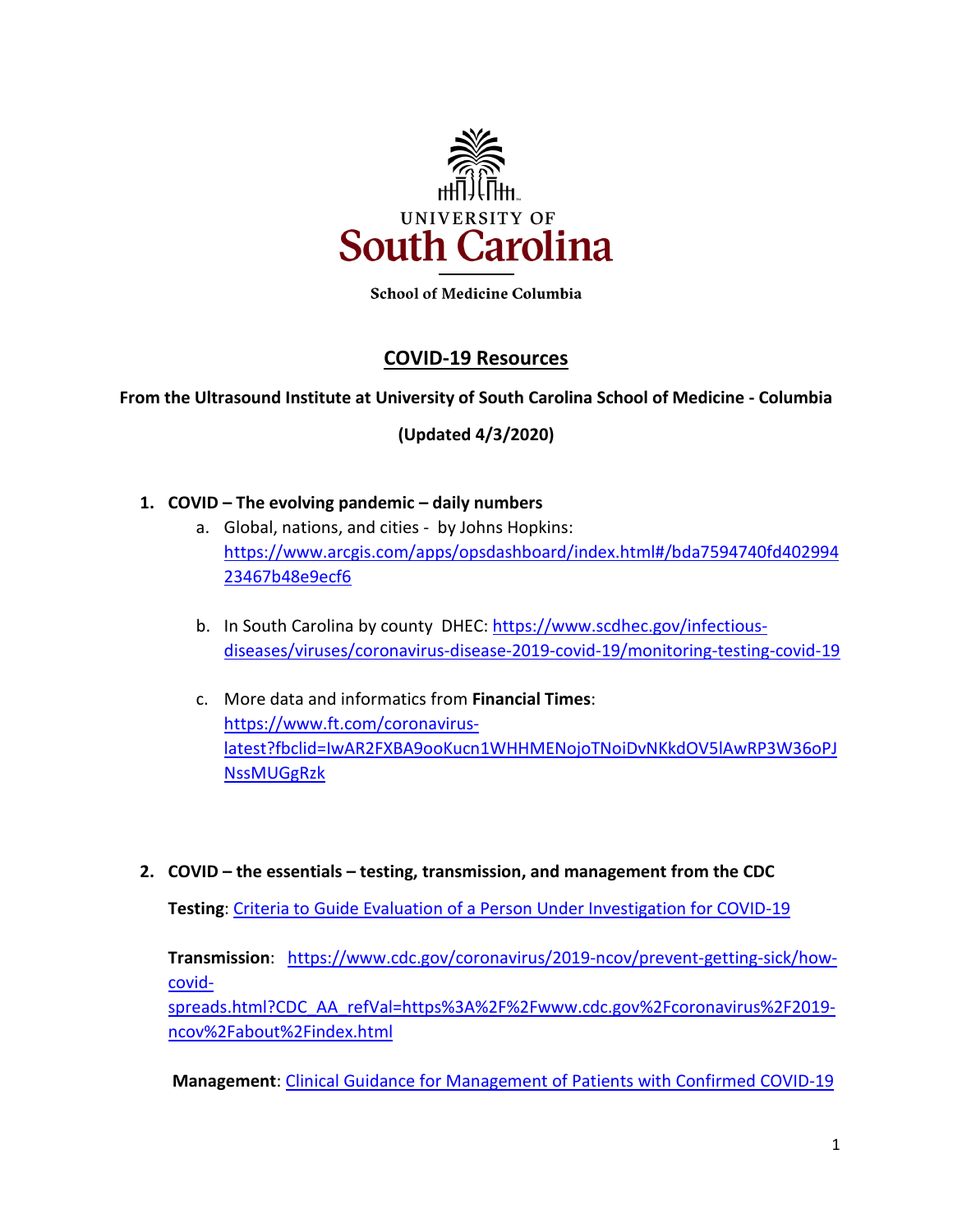

**School of Medicine Columbia** 

# **COVID-19 Resources**

### **From the Ultrasound Institute at University of South Carolina School of Medicine - Columbia**

**(Updated 4/3/2020)**

### **1. COVID – The evolving pandemic – daily numbers**

- a. Global, nations, and cities by Johns Hopkins: [https://www.arcgis.com/apps/opsdashboard/index.html#/bda7594740fd402994](https://www.arcgis.com/apps/opsdashboard/index.html#/bda7594740fd40299423467b48e9ecf6) [23467b48e9ecf6](https://www.arcgis.com/apps/opsdashboard/index.html#/bda7594740fd40299423467b48e9ecf6)
- b. In South Carolina by county DHEC: [https://www.scdhec.gov/infectious](https://www.scdhec.gov/infectious-diseases/viruses/coronavirus-disease-2019-covid-19/monitoring-testing-covid-19)[diseases/viruses/coronavirus-disease-2019-covid-19/monitoring-testing-covid-19](https://www.scdhec.gov/infectious-diseases/viruses/coronavirus-disease-2019-covid-19/monitoring-testing-covid-19)
- c. More data and informatics from **Financial Times**: [https://www.ft.com/coronavirus](https://www.ft.com/coronavirus-latest?fbclid=IwAR2FXBA9ooKucn1WHHMENojoTNoiDvNKkdOV5lAwRP3W36oPJNssMUGgRzk)[latest?fbclid=IwAR2FXBA9ooKucn1WHHMENojoTNoiDvNKkdOV5lAwRP3W36oPJ](https://www.ft.com/coronavirus-latest?fbclid=IwAR2FXBA9ooKucn1WHHMENojoTNoiDvNKkdOV5lAwRP3W36oPJNssMUGgRzk) **[NssMUGgRzk](https://www.ft.com/coronavirus-latest?fbclid=IwAR2FXBA9ooKucn1WHHMENojoTNoiDvNKkdOV5lAwRP3W36oPJNssMUGgRzk)**
- **2. COVID – the essentials – testing, transmission, and management from the CDC**

**Testing**: [Criteria to Guide Evaluation of a Person Under Investigation for COVID-19](https://scmedical.us2.list-manage.com/track/click?u=42a2c1e22bf15be06e231cc34&id=75c7648f48&e=835d8b1d0c)

**Transmission**: [https://www.cdc.gov/coronavirus/2019-ncov/prevent-getting-sick/how](https://www.cdc.gov/coronavirus/2019-ncov/prevent-getting-sick/how-covid-spreads.html?CDC_AA_refVal=https%3A%2F%2Fwww.cdc.gov%2Fcoronavirus%2F2019-ncov%2Fabout%2Findex.html)[covid-](https://www.cdc.gov/coronavirus/2019-ncov/prevent-getting-sick/how-covid-spreads.html?CDC_AA_refVal=https%3A%2F%2Fwww.cdc.gov%2Fcoronavirus%2F2019-ncov%2Fabout%2Findex.html)

[spreads.html?CDC\\_AA\\_refVal=https%3A%2F%2Fwww.cdc.gov%2Fcoronavirus%2F2019](https://www.cdc.gov/coronavirus/2019-ncov/prevent-getting-sick/how-covid-spreads.html?CDC_AA_refVal=https%3A%2F%2Fwww.cdc.gov%2Fcoronavirus%2F2019-ncov%2Fabout%2Findex.html) [ncov%2Fabout%2Findex.html](https://www.cdc.gov/coronavirus/2019-ncov/prevent-getting-sick/how-covid-spreads.html?CDC_AA_refVal=https%3A%2F%2Fwww.cdc.gov%2Fcoronavirus%2F2019-ncov%2Fabout%2Findex.html)

**Management**: [Clinical Guidance for Management of Patients with Confirmed COVID-19](https://scmedical.us2.list-manage.com/track/click?u=42a2c1e22bf15be06e231cc34&id=287139579c&e=835d8b1d0c)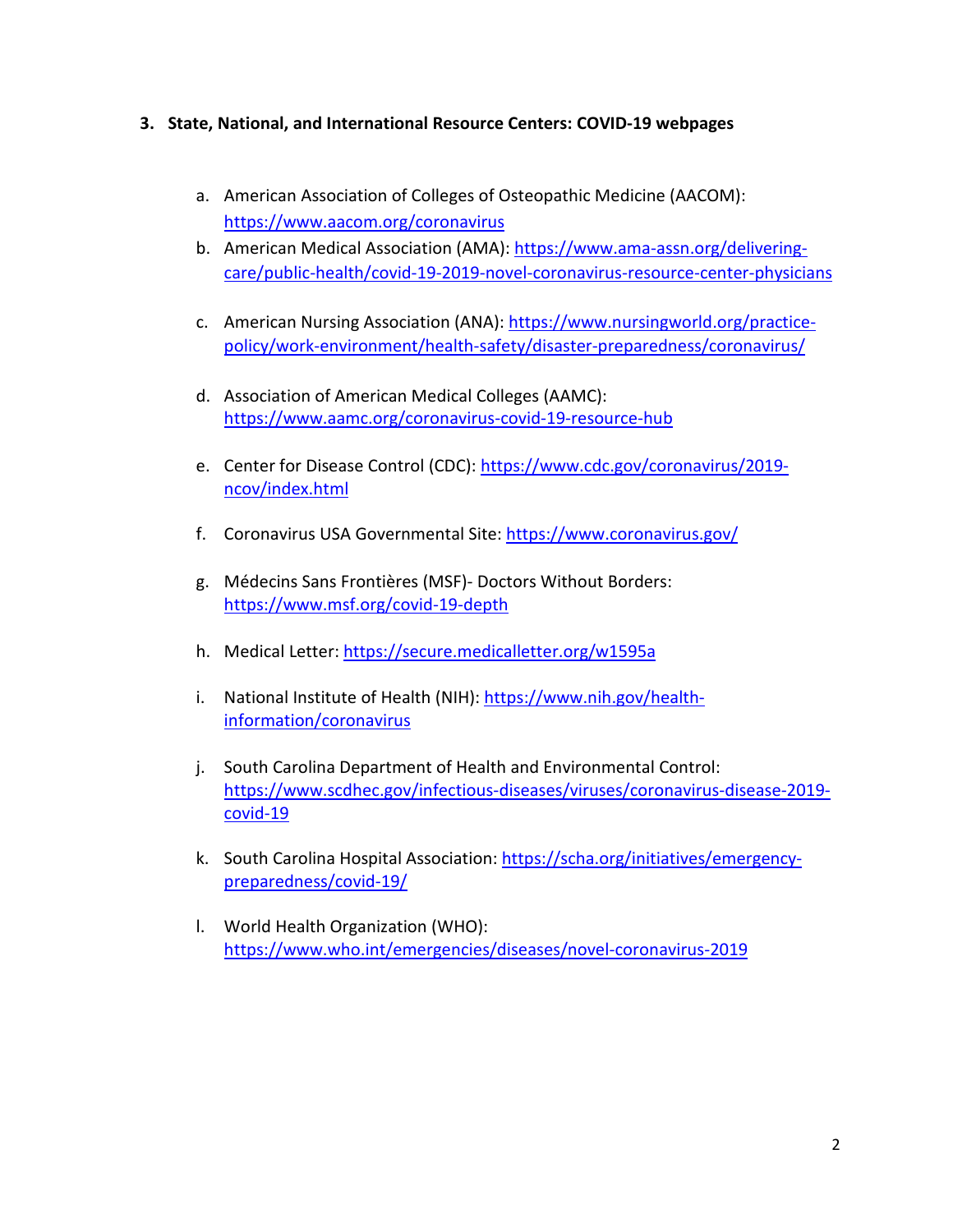### **3. State, National, and International Resource Centers: COVID-19 webpages**

- a. American Association of Colleges of Osteopathic Medicine (AACOM): <https://www.aacom.org/coronavirus>
- b. American Medical Association (AMA): [https://www.ama-assn.org/delivering](https://www.ama-assn.org/delivering-care/public-health/covid-19-2019-novel-coronavirus-resource-center-physicians)[care/public-health/covid-19-2019-novel-coronavirus-resource-center-physicians](https://www.ama-assn.org/delivering-care/public-health/covid-19-2019-novel-coronavirus-resource-center-physicians)
- c. American Nursing Association (ANA): [https://www.nursingworld.org/practice](https://www.nursingworld.org/practice-policy/work-environment/health-safety/disaster-preparedness/coronavirus/)[policy/work-environment/health-safety/disaster-preparedness/coronavirus/](https://www.nursingworld.org/practice-policy/work-environment/health-safety/disaster-preparedness/coronavirus/)
- d. Association of American Medical Colleges (AAMC): <https://www.aamc.org/coronavirus-covid-19-resource-hub>
- e. Center for Disease Control (CDC): [https://www.cdc.gov/coronavirus/2019](https://www.cdc.gov/coronavirus/2019-ncov/index.html) [ncov/index.html](https://www.cdc.gov/coronavirus/2019-ncov/index.html)
- f. Coronavirus USA Governmental Site:<https://www.coronavirus.gov/>
- g. Médecins Sans Frontières (MSF)- Doctors Without Borders: <https://www.msf.org/covid-19-depth>
- h. Medical Letter[: https://secure.medicalletter.org/w1595a](https://secure.medicalletter.org/w1595a)
- i. National Institute of Health (NIH): [https://www.nih.gov/health](https://www.nih.gov/health-information/coronavirus)[information/coronavirus](https://www.nih.gov/health-information/coronavirus)
- j. South Carolina Department of Health and Environmental Control: [https://www.scdhec.gov/infectious-diseases/viruses/coronavirus-disease-2019](https://www.scdhec.gov/infectious-diseases/viruses/coronavirus-disease-2019-covid-19) [covid-19](https://www.scdhec.gov/infectious-diseases/viruses/coronavirus-disease-2019-covid-19)
- k. South Carolina Hospital Association: [https://scha.org/initiatives/emergency](https://scha.org/initiatives/emergency-preparedness/covid-19/)[preparedness/covid-19/](https://scha.org/initiatives/emergency-preparedness/covid-19/)
- l. World Health Organization (WHO): <https://www.who.int/emergencies/diseases/novel-coronavirus-2019>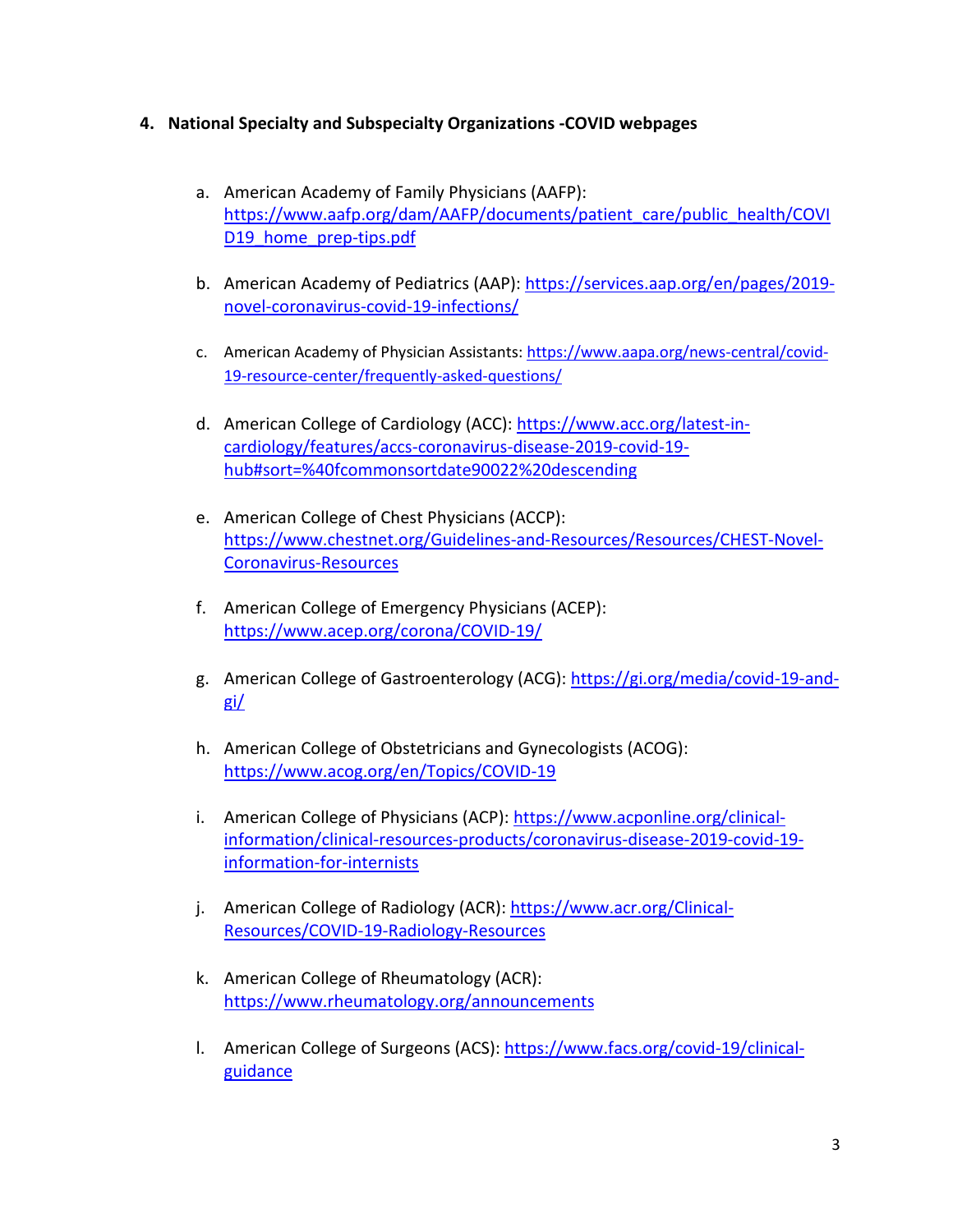### **4. National Specialty and Subspecialty Organizations -COVID webpages**

- a. American Academy of Family Physicians (AAFP): [https://www.aafp.org/dam/AAFP/documents/patient\\_care/public\\_health/COVI](https://www.aafp.org/dam/AAFP/documents/patient_care/public_health/COVID19_home_prep-tips.pdf) [D19\\_home\\_prep-tips.pdf](https://www.aafp.org/dam/AAFP/documents/patient_care/public_health/COVID19_home_prep-tips.pdf)
- b. American Academy of Pediatrics (AAP): [https://services.aap.org/en/pages/2019](https://services.aap.org/en/pages/2019-novel-coronavirus-covid-19-infections/) [novel-coronavirus-covid-19-infections/](https://services.aap.org/en/pages/2019-novel-coronavirus-covid-19-infections/)
- c. American Academy of Physician Assistants[: https://www.aapa.org/news-central/covid-](https://www.aapa.org/news-central/covid-19-resource-center/frequently-asked-questions/)[19-resource-center/frequently-asked-questions/](https://www.aapa.org/news-central/covid-19-resource-center/frequently-asked-questions/)
- d. American College of Cardiology (ACC): [https://www.acc.org/latest-in](https://www.acc.org/latest-in-cardiology/features/accs-coronavirus-disease-2019-covid-19-hub#sort=%40fcommonsortdate90022%20descending)[cardiology/features/accs-coronavirus-disease-2019-covid-19](https://www.acc.org/latest-in-cardiology/features/accs-coronavirus-disease-2019-covid-19-hub#sort=%40fcommonsortdate90022%20descending) [hub#sort=%40fcommonsortdate90022%20descending](https://www.acc.org/latest-in-cardiology/features/accs-coronavirus-disease-2019-covid-19-hub#sort=%40fcommonsortdate90022%20descending)
- e. American College of Chest Physicians (ACCP): [https://www.chestnet.org/Guidelines-and-Resources/Resources/CHEST-Novel-](https://www.chestnet.org/Guidelines-and-Resources/Resources/CHEST-Novel-Coronavirus-Resources)[Coronavirus-Resources](https://www.chestnet.org/Guidelines-and-Resources/Resources/CHEST-Novel-Coronavirus-Resources)
- f. American College of Emergency Physicians (ACEP): <https://www.acep.org/corona/COVID-19/>
- g. American College of Gastroenterology (ACG): [https://gi.org/media/covid-19-and](https://gi.org/media/covid-19-and-gi/)[gi/](https://gi.org/media/covid-19-and-gi/)
- h. American College of Obstetricians and Gynecologists (ACOG): <https://www.acog.org/en/Topics/COVID-19>
- i. American College of Physicians (ACP): [https://www.acponline.org/clinical](https://www.acponline.org/clinical-information/clinical-resources-products/coronavirus-disease-2019-covid-19-information-for-internists)[information/clinical-resources-products/coronavirus-disease-2019-covid-19](https://www.acponline.org/clinical-information/clinical-resources-products/coronavirus-disease-2019-covid-19-information-for-internists) [information-for-internists](https://www.acponline.org/clinical-information/clinical-resources-products/coronavirus-disease-2019-covid-19-information-for-internists)
- j. American College of Radiology (ACR): [https://www.acr.org/Clinical-](https://www.acr.org/Clinical-Resources/COVID-19-Radiology-Resources)[Resources/COVID-19-Radiology-Resources](https://www.acr.org/Clinical-Resources/COVID-19-Radiology-Resources)
- k. American College of Rheumatology (ACR): <https://www.rheumatology.org/announcements>
- l. American College of Surgeons (ACS): [https://www.facs.org/covid-19/clinical](https://www.facs.org/covid-19/clinical-guidance)[guidance](https://www.facs.org/covid-19/clinical-guidance)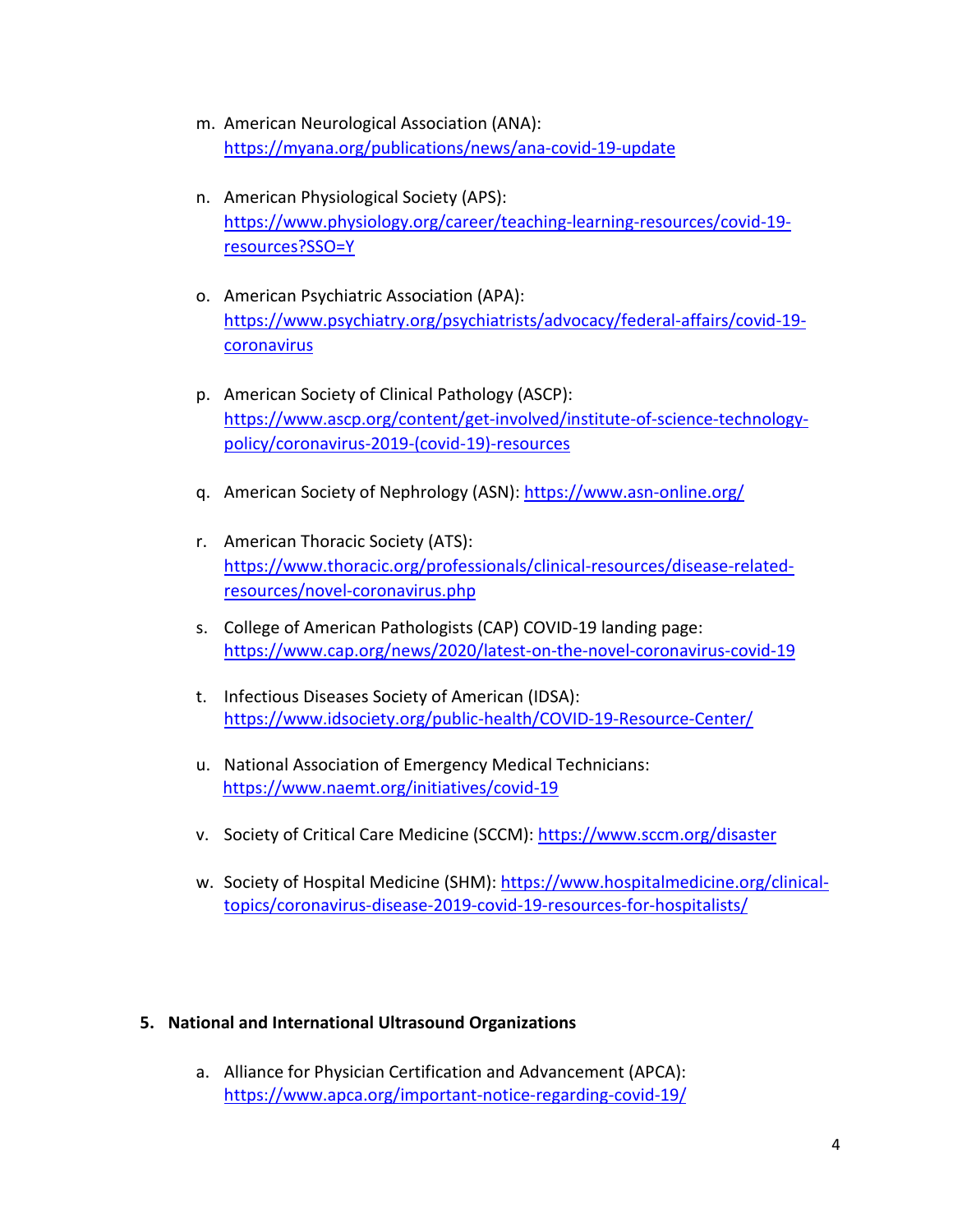- m. American Neurological Association (ANA): <https://myana.org/publications/news/ana-covid-19-update>
- n. American Physiological Society (APS): [https://www.physiology.org/career/teaching-learning-resources/covid-19](https://www.physiology.org/career/teaching-learning-resources/covid-19-resources?SSO=Y) [resources?SSO=Y](https://www.physiology.org/career/teaching-learning-resources/covid-19-resources?SSO=Y)
- o. American Psychiatric Association (APA): [https://www.psychiatry.org/psychiatrists/advocacy/federal-affairs/covid-19](https://www.psychiatry.org/psychiatrists/advocacy/federal-affairs/covid-19-coronavirus) [coronavirus](https://www.psychiatry.org/psychiatrists/advocacy/federal-affairs/covid-19-coronavirus)
- p. American Society of Clinical Pathology (ASCP): [https://www.ascp.org/content/get-involved/institute-of-science-technology](https://www.ascp.org/content/get-involved/institute-of-science-technology-policy/coronavirus-2019-(covid-19)-resources)[policy/coronavirus-2019-\(covid-19\)-resources](https://www.ascp.org/content/get-involved/institute-of-science-technology-policy/coronavirus-2019-(covid-19)-resources)
- q. American Society of Nephrology (ASN):<https://www.asn-online.org/>
- r. American Thoracic Society (ATS): [https://www.thoracic.org/professionals/clinical-resources/disease-related](https://www.thoracic.org/professionals/clinical-resources/disease-related-resources/novel-coronavirus.php)[resources/novel-coronavirus.php](https://www.thoracic.org/professionals/clinical-resources/disease-related-resources/novel-coronavirus.php)
- s. College of American Pathologists (CAP) COVID-19 landing page: <https://www.cap.org/news/2020/latest-on-the-novel-coronavirus-covid-19>
- t. Infectious Diseases Society of American (IDSA): <https://www.idsociety.org/public-health/COVID-19-Resource-Center/>
- u. National Association of Emergency Medical Technicians: <https://www.naemt.org/initiatives/covid-19>
- v. Society of Critical Care Medicine (SCCM):<https://www.sccm.org/disaster>
- w. Society of Hospital Medicine (SHM): [https://www.hospitalmedicine.org/clinical](https://www.hospitalmedicine.org/clinical-topics/coronavirus-disease-2019-covid-19-resources-for-hospitalists/)[topics/coronavirus-disease-2019-covid-19-resources-for-hospitalists/](https://www.hospitalmedicine.org/clinical-topics/coronavirus-disease-2019-covid-19-resources-for-hospitalists/)

## **5. National and International Ultrasound Organizations**

a. Alliance for Physician Certification and Advancement (APCA): <https://www.apca.org/important-notice-regarding-covid-19/>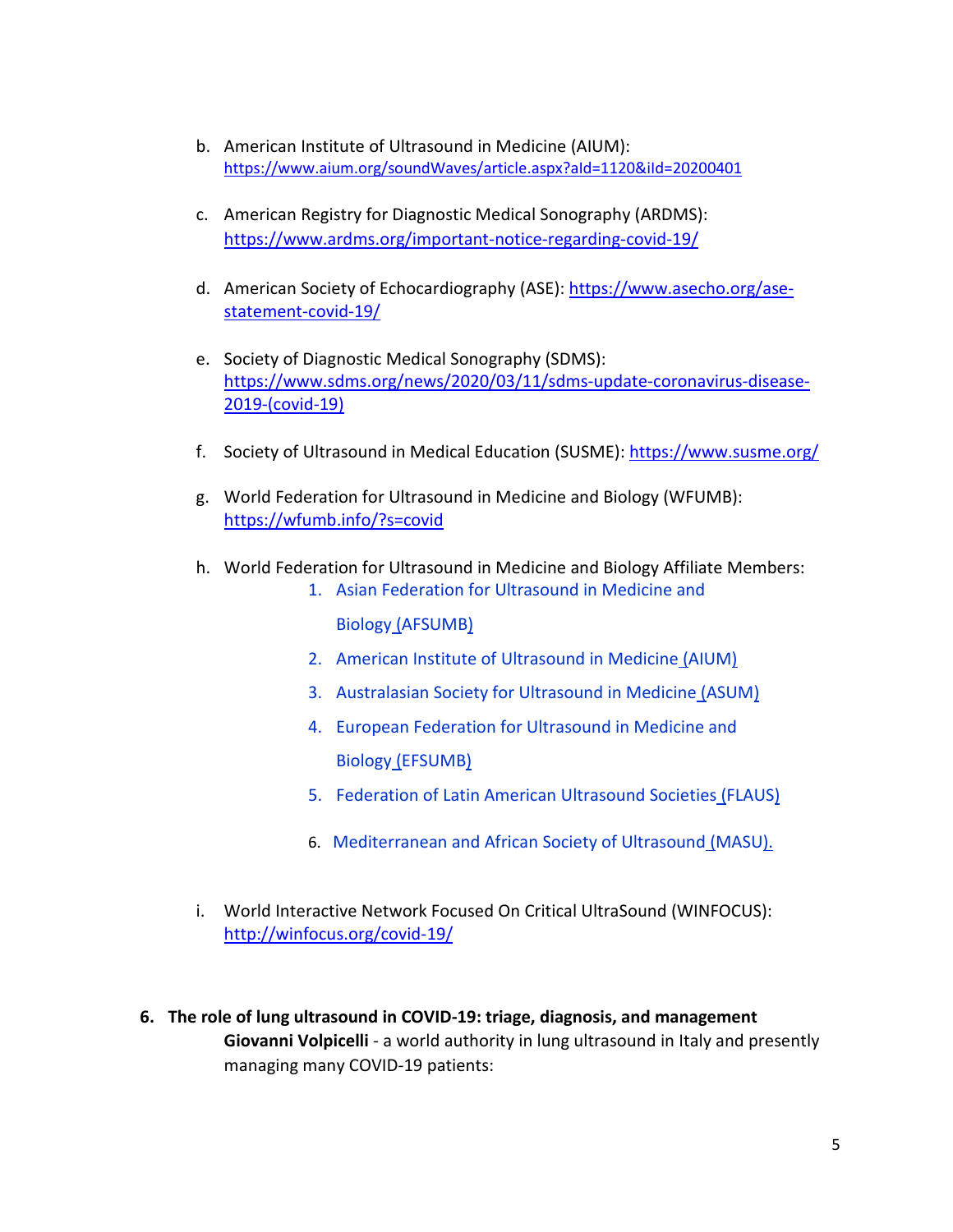- b. American Institute of Ultrasound in Medicine (AIUM): <https://www.aium.org/soundWaves/article.aspx?aId=1120&iId=20200401>
- c. American Registry for Diagnostic Medical Sonography (ARDMS): <https://www.ardms.org/important-notice-regarding-covid-19/>
- d. American Society of Echocardiography (ASE): [https://www.asecho.org/ase](https://www.asecho.org/ase-statement-covid-19/)[statement-covid-19/](https://www.asecho.org/ase-statement-covid-19/)
- e. Society of Diagnostic Medical Sonography (SDMS): [https://www.sdms.org/news/2020/03/11/sdms-update-coronavirus-disease-](https://www.sdms.org/news/2020/03/11/sdms-update-coronavirus-disease-2019-(covid-19))[2019-\(covid-19\)](https://www.sdms.org/news/2020/03/11/sdms-update-coronavirus-disease-2019-(covid-19))
- f. Society of Ultrasound in Medical Education (SUSME):<https://www.susme.org/>
- g. World Federation for Ultrasound in Medicine and Biology (WFUMB): <https://wfumb.info/?s=covid>
- h. World Federation for Ultrasound in Medicine and Biology Affiliate Members:
	- 1. [Asian Federation for Ultrasound in Medicine and](http://www.afsumb.org/)  [Biology](http://www.afsumb.org/) [\(AFSUMB\)](http://www.afsumb.org/)
	- 2. [American Institute of Ultrasound in Medicine](http://www.aium.org/) [\(AIUM\)](http://www.aium.org/)
	- 3. [Australasian Society for Ultrasound in Medicine](http://www.asum.com.au/) [\(ASUM\)](http://www.asum.com.au/)
	- 4. [European Federation for Ultrasound in Medicine and](http://www.efsumb.org/blog/)  [Biology](http://www.efsumb.org/blog/) [\(EFSUMB\)](http://www.efsumb.org/intro/home.asp)
	- 5. [Federation of Latin American Ultrasound Societies](http://www.flaus-us.org/) [\(FLAUS\)](http://www.flaus-us.org/)
	- 6. [Mediterranean and African Society of Ultrasound](http://www.masu-ultrasound.com/) [\(MASU\)](http://www.masu-ultrasound.com/).
- i. World Interactive Network Focused On Critical UltraSound (WINFOCUS): <http://winfocus.org/covid-19/>
- **6. The role of lung ultrasound in COVID-19: triage, diagnosis, and management Giovanni Volpicelli** - a world authority in lung ultrasound in Italy and presently managing many COVID-19 patients: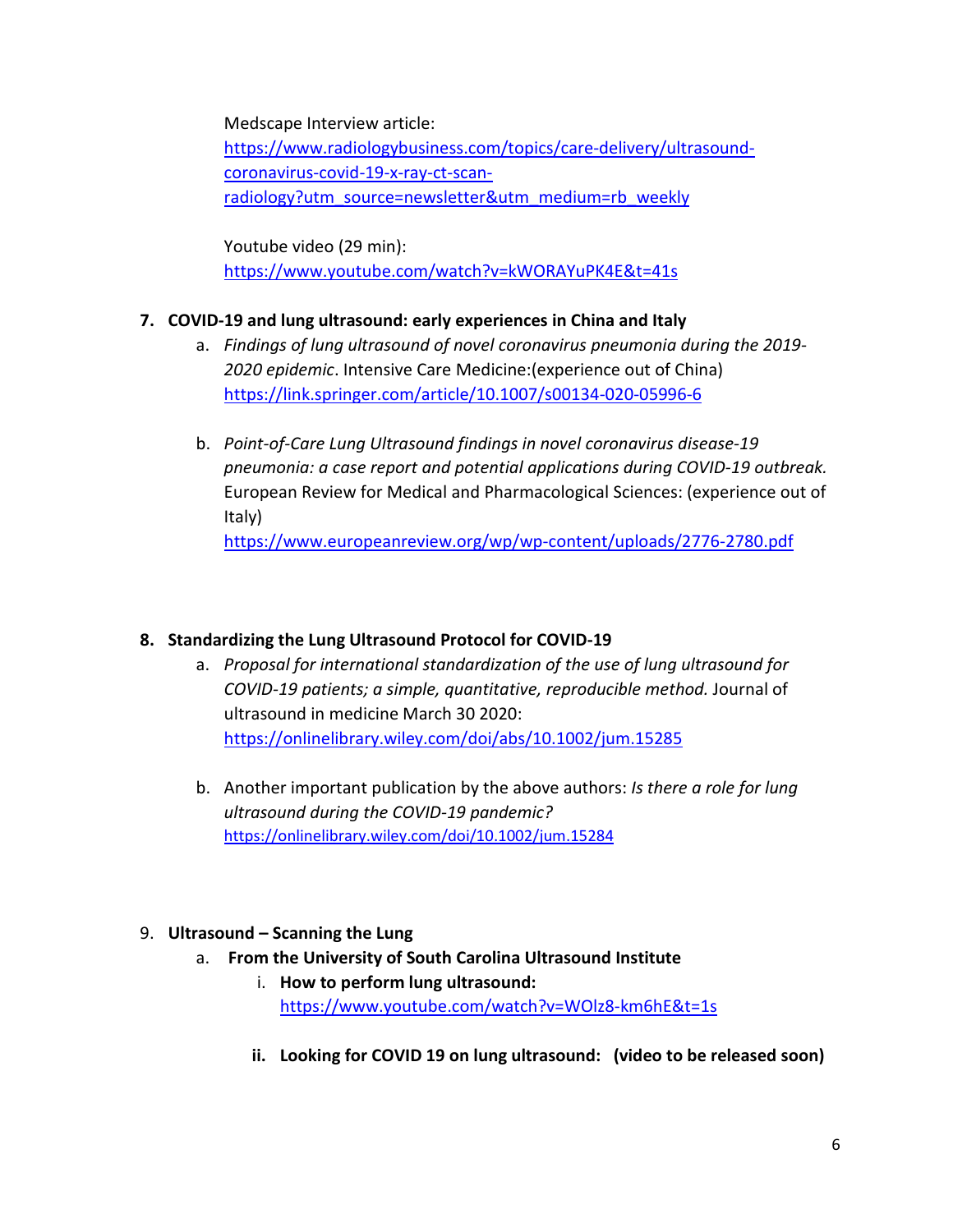Medscape Interview article:

[https://www.radiologybusiness.com/topics/care-delivery/ultrasound](https://www.radiologybusiness.com/topics/care-delivery/ultrasound-coronavirus-covid-19-x-ray-ct-scan-radiology?utm_source=newsletter&utm_medium=rb_weekly)[coronavirus-covid-19-x-ray-ct-scan](https://www.radiologybusiness.com/topics/care-delivery/ultrasound-coronavirus-covid-19-x-ray-ct-scan-radiology?utm_source=newsletter&utm_medium=rb_weekly)radiology?utm\_source=newsletter&utm\_medium=rb\_weekly

Youtube video (29 min): <https://www.youtube.com/watch?v=kWORAYuPK4E&t=41s>

# **7. COVID-19 and lung ultrasound: early experiences in China and Italy**

- a. *Findings of lung ultrasound of novel coronavirus pneumonia during the 2019- 2020 epidemic*. Intensive Care Medicine:(experience out of China) <https://link.springer.com/article/10.1007/s00134-020-05996-6>
- b. *Point-of-Care Lung Ultrasound findings in novel coronavirus disease-19 pneumonia: a case report and potential applications during COVID-19 outbreak.* European Review for Medical and Pharmacological Sciences: (experience out of Italy)

<https://www.europeanreview.org/wp/wp-content/uploads/2776-2780.pdf>

# **8. Standardizing the Lung Ultrasound Protocol for COVID-19**

- a. *Proposal for international standardization of the use of lung ultrasound for COVID-19 patients; a simple, quantitative, reproducible method.* Journal of ultrasound in medicine March 30 2020: <https://onlinelibrary.wiley.com/doi/abs/10.1002/jum.15285>
- b. Another important publication by the above authors: *Is there a role for lung ultrasound during the COVID-19 pandemic?*  <https://onlinelibrary.wiley.com/doi/10.1002/jum.15284>

# 9. **Ultrasound – Scanning the Lung**

- a. **From the University of South Carolina Ultrasound Institute**
	- i. **How to perform lung ultrasound:** <https://www.youtube.com/watch?v=WOlz8-km6hE&t=1s>
	- **ii. Looking for COVID 19 on lung ultrasound: (video to be released soon)**